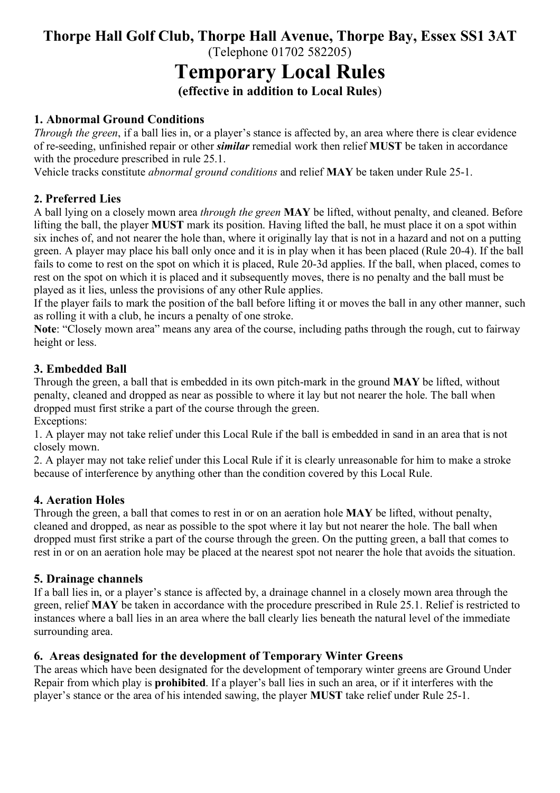# **Thorpe Hall Golf Club, Thorpe Hall Avenue, Thorpe Bay, Essex SS1 3AT**  (Telephone 01702 582205)

# **Temporary Local Rules**

# **(effective in addition to Local Rules**)

## **1. Abnormal Ground Conditions**

*Through the green*, if a ball lies in, or a player's stance is affected by, an area where there is clear evidence of re-seeding, unfinished repair or other *similar* remedial work then relief **MUST** be taken in accordance with the procedure prescribed in rule 25.1.

Vehicle tracks constitute *abnormal ground conditions* and relief **MAY** be taken under Rule 25-1.

### **2. Preferred Lies**

A ball lying on a closely mown area *through the green* **MAY** be lifted, without penalty, and cleaned. Before lifting the ball, the player **MUST** mark its position. Having lifted the ball, he must place it on a spot within six inches of, and not nearer the hole than, where it originally lay that is not in a hazard and not on a putting green. A player may place his ball only once and it is in play when it has been placed (Rule 20-4). If the ball fails to come to rest on the spot on which it is placed, Rule 20-3d applies. If the ball, when placed, comes to rest on the spot on which it is placed and it subsequently moves, there is no penalty and the ball must be played as it lies, unless the provisions of any other Rule applies.

If the player fails to mark the position of the ball before lifting it or moves the ball in any other manner, such as rolling it with a club, he incurs a penalty of one stroke.

**Note**: "Closely mown area" means any area of the course, including paths through the rough, cut to fairway height or less.

### **3. Embedded Ball**

Through the green, a ball that is embedded in its own pitch-mark in the ground **MAY** be lifted, without penalty, cleaned and dropped as near as possible to where it lay but not nearer the hole. The ball when dropped must first strike a part of the course through the green.

Exceptions:

1. A player may not take relief under this Local Rule if the ball is embedded in sand in an area that is not closely mown.

2. A player may not take relief under this Local Rule if it is clearly unreasonable for him to make a stroke because of interference by anything other than the condition covered by this Local Rule.

# **4. Aeration Holes**

Through the green, a ball that comes to rest in or on an aeration hole **MAY** be lifted, without penalty, cleaned and dropped, as near as possible to the spot where it lay but not nearer the hole. The ball when dropped must first strike a part of the course through the green. On the putting green, a ball that comes to rest in or on an aeration hole may be placed at the nearest spot not nearer the hole that avoids the situation.

#### **5. Drainage channels**

If a ball lies in, or a player's stance is affected by, a drainage channel in a closely mown area through the green, relief **MAY** be taken in accordance with the procedure prescribed in Rule 25.1. Relief is restricted to instances where a ball lies in an area where the ball clearly lies beneath the natural level of the immediate surrounding area.

#### **6. Areas designated for the development of Temporary Winter Greens**

The areas which have been designated for the development of temporary winter greens are Ground Under Repair from which play is **prohibited**. If a player's ball lies in such an area, or if it interferes with the player's stance or the area of his intended sawing, the player **MUST** take relief under Rule 25-1.